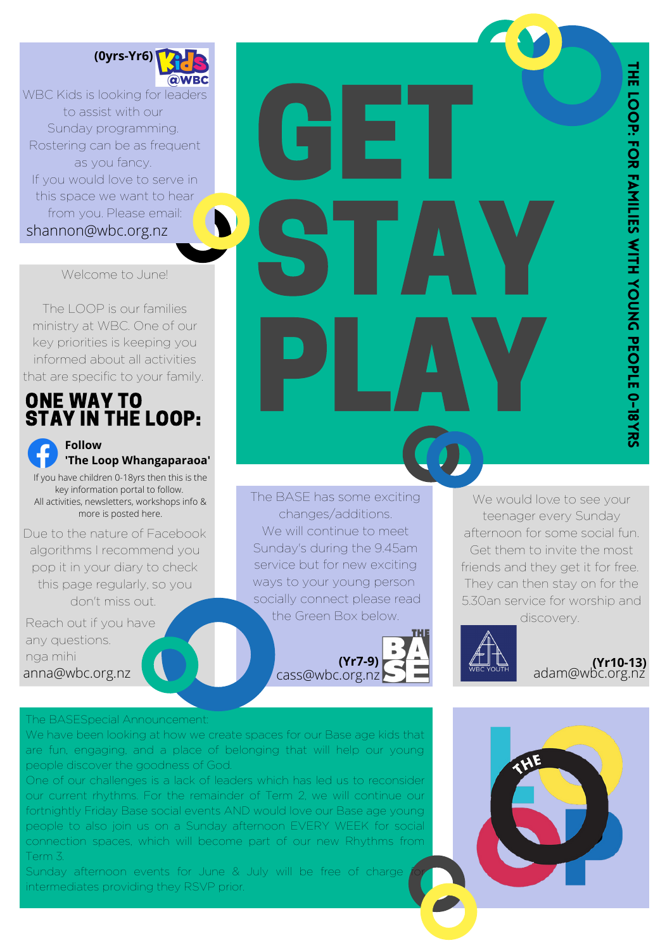

shannon@wbc.org.nz WBC Kids is looking for leaders to assist with our Sunday programming. Rostering can be as frequent as you fancy. If you would love to serve in this space we want to hear from you. Please email:

## Welcome to June!

The LOOP is our families ministry at WBC. One of our key priorities is keeping you informed about all activities that are specific to your family.

## ONE WAY TO STAY IN THE LOOP:

**Follow 'The Loop Whangaparaoa'** If you have children 0-18yrs then this is the key information portal to follow. All activities, newsletters, workshops info &

more is posted here.

Due to the nature of Facebook algorithms I recommend you pop it in your diary to check this page regularly, so you don't miss out.

Reach out if you have any questions. nga mihi anna@wbc.org.nz

## The BASESpecial Announcement:

We have been looking at how we create spaces for our Base age kids that are fun, engaging, and a place of belonging that will help our young people discover the goodness of God.

One of our challenges is a lack of leaders which has led us to reconsider our current rhythms. For the remainder of Term 2, we will continue our fortnightly Friday Base social events AND would love our Base age young people to also join us on a Sunday afternoon EVERY WEEK for social connection spaces, which will become part of our new Rhythms from Term 3.

Sunday afternoon events for June & July will be free of charge intermediates providing they RSVP prior.





GET

STAY

PLAY

**(Yr7-9)**

cass@wbc.org.nz

. The BASE has some exciting

changes/additions. We will continue to meet Sunday's during the 9.45am service but for new exciting ways to your young person socially connect please read the Green Box below.

> **(Yr10-13)** adam@wbc.org.nz